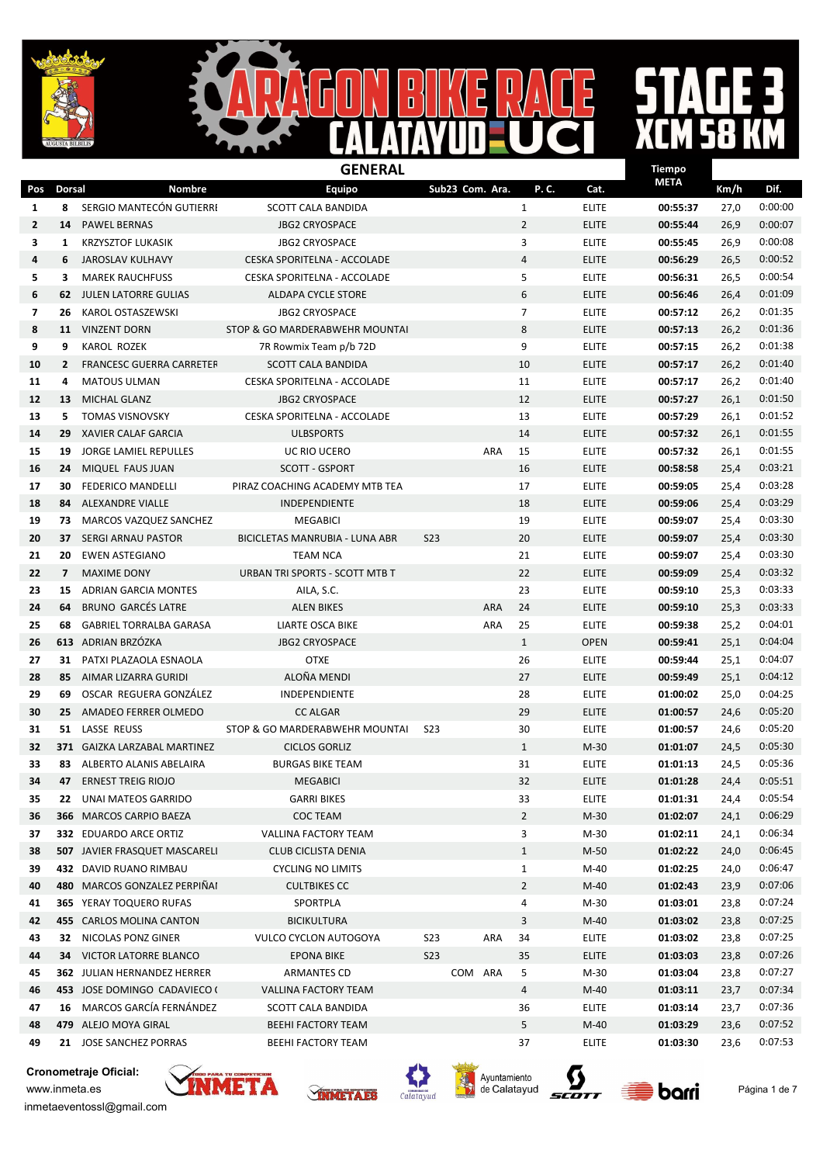



# $\mathbf{R}$

|                          |                |                                 | <b>GENERAL</b>                 |                 |                 |            |                |              | <b>Tiempo</b> |      |         |
|--------------------------|----------------|---------------------------------|--------------------------------|-----------------|-----------------|------------|----------------|--------------|---------------|------|---------|
| Pos                      | <b>Dorsal</b>  | Nombre                          | Equipo                         |                 | Sub23 Com. Ara. |            | P.C.           | Cat.         | <b>META</b>   | Km/h | Dif.    |
| 1                        | 8              | SERGIO MANTECÓN GUTIERRI        | <b>SCOTT CALA BANDIDA</b>      |                 |                 |            | $\mathbf{1}$   | <b>ELITE</b> | 00:55:37      | 27,0 | 0:00:00 |
| $\mathbf{2}$             | 14             | <b>PAWEL BERNAS</b>             | <b>JBG2 CRYOSPACE</b>          |                 |                 |            | $\overline{2}$ | <b>ELITE</b> | 00:55:44      | 26,9 | 0:00:07 |
| 3                        | 1              | <b>KRZYSZTOF LUKASIK</b>        | <b>JBG2 CRYOSPACE</b>          |                 |                 |            | 3              | <b>ELITE</b> | 00:55:45      | 26,9 | 0:00:08 |
| 4                        | 6              | JAROSLAV KULHAVY                | CESKA SPORITELNA - ACCOLADE    |                 |                 |            | $\overline{4}$ | <b>ELITE</b> | 00:56:29      | 26,5 | 0:00:52 |
| 5                        | 3              | <b>MAREK RAUCHFUSS</b>          | CESKA SPORITELNA - ACCOLADE    |                 |                 |            | 5              | <b>ELITE</b> | 00:56:31      | 26,5 | 0:00:54 |
| 6                        | 62             | JULEN LATORRE GULIAS            | <b>ALDAPA CYCLE STORE</b>      |                 |                 |            | 6              | <b>ELITE</b> | 00:56:46      | 26,4 | 0:01:09 |
| $\overline{\phantom{a}}$ | 26             | KAROL OSTASZEWSKI               | <b>JBG2 CRYOSPACE</b>          |                 |                 |            | $\overline{7}$ | <b>ELITE</b> | 00:57:12      | 26,2 | 0:01:35 |
| 8                        |                | 11 VINZENT DORN                 | STOP & GO MARDERABWEHR MOUNTAI |                 |                 |            | 8              | <b>ELITE</b> | 00:57:13      | 26,2 | 0:01:36 |
| 9                        | 9              | <b>KAROL ROZEK</b>              | 7R Rowmix Team p/b 72D         |                 |                 |            | 9              | <b>ELITE</b> | 00:57:15      | 26,2 | 0:01:38 |
| 10                       | $\mathbf{2}$   | <b>FRANCESC GUERRA CARRETER</b> | SCOTT CALA BANDIDA             |                 |                 |            | 10             | <b>ELITE</b> | 00:57:17      | 26,2 | 0:01:40 |
| 11                       | 4              | <b>MATOUS ULMAN</b>             | CESKA SPORITELNA - ACCOLADE    |                 |                 |            | 11             | <b>ELITE</b> | 00:57:17      | 26,2 | 0:01:40 |
| 12                       | 13             | <b>MICHAL GLANZ</b>             | <b>JBG2 CRYOSPACE</b>          |                 |                 |            | 12             | <b>ELITE</b> | 00:57:27      | 26,1 | 0:01:50 |
| 13                       | 5.             | <b>TOMAS VISNOVSKY</b>          | CESKA SPORITELNA - ACCOLADE    |                 |                 |            | 13             | <b>ELITE</b> | 00:57:29      | 26,1 | 0:01:52 |
| 14                       | 29             | <b>XAVIER CALAF GARCIA</b>      | <b>ULBSPORTS</b>               |                 |                 |            | 14             | <b>ELITE</b> | 00:57:32      | 26,1 | 0:01:55 |
| 15                       | 19             | JORGE LAMIEL REPULLES           | UC RIO UCERO                   |                 |                 | ARA        | 15             | <b>ELITE</b> | 00:57:32      | 26,1 | 0:01:55 |
| 16                       | 24             | MIQUEL FAUS JUAN                | <b>SCOTT - GSPORT</b>          |                 |                 |            | 16             | <b>ELITE</b> | 00:58:58      | 25,4 | 0:03:21 |
| 17                       | 30             | <b>FEDERICO MANDELLI</b>        | PIRAZ COACHING ACADEMY MTB TEA |                 |                 |            | 17             | <b>ELITE</b> | 00:59:05      | 25,4 | 0:03:28 |
| 18                       | 84             | ALEXANDRE VIALLE                | <b>INDEPENDIENTE</b>           |                 |                 |            | 18             | <b>ELITE</b> | 00:59:06      | 25,4 | 0:03:29 |
| 19                       | 73             | <b>MARCOS VAZQUEZ SANCHEZ</b>   | <b>MEGABICI</b>                |                 |                 |            | 19             | <b>ELITE</b> | 00:59:07      | 25,4 | 0:03:30 |
| 20                       | 37             | <b>SERGI ARNAU PASTOR</b>       | BICICLETAS MANRUBIA - LUNA ABR | <b>S23</b>      |                 |            | 20             | <b>ELITE</b> | 00:59:07      | 25,4 | 0:03:30 |
| 21                       | 20             | <b>EWEN ASTEGIANO</b>           | <b>TEAM NCA</b>                |                 |                 |            | 21             | <b>ELITE</b> | 00:59:07      | 25,4 | 0:03:30 |
| 22                       | 7 <sup>7</sup> | <b>MAXIME DONY</b>              | URBAN TRI SPORTS - SCOTT MTB T |                 |                 |            | 22             | <b>ELITE</b> | 00:59:09      | 25,4 | 0:03:32 |
| 23                       | 15             | ADRIAN GARCIA MONTES            | AILA, S.C.                     |                 |                 |            | 23             | <b>ELITE</b> | 00:59:10      | 25,3 | 0:03:33 |
| 24                       | 64             | <b>BRUNO GARCÉS LATRE</b>       | <b>ALEN BIKES</b>              |                 |                 | <b>ARA</b> | 24             | <b>ELITE</b> | 00:59:10      | 25,3 | 0:03:33 |
| 25                       | 68             | <b>GABRIEL TORRALBA GARASA</b>  | <b>LIARTE OSCA BIKE</b>        |                 |                 | ARA        | 25             | <b>ELITE</b> | 00:59:38      | 25,2 | 0:04:01 |
| 26                       |                | 613 ADRIAN BRZÓZKA              | <b>JBG2 CRYOSPACE</b>          |                 |                 |            | $\mathbf{1}$   | <b>OPEN</b>  | 00:59:41      | 25,1 | 0:04:04 |
| 27                       |                | 31 PATXI PLAZAOLA ESNAOLA       | <b>OTXE</b>                    |                 |                 |            | 26             | <b>ELITE</b> | 00:59:44      | 25,1 | 0:04:07 |
| 28                       | 85             | AIMAR LIZARRA GURIDI            | ALOÑA MENDI                    |                 |                 |            | 27             | <b>ELITE</b> | 00:59:49      | 25,1 | 0:04:12 |
| 29                       | 69             | OSCAR REGUERA GONZÁLEZ          | INDEPENDIENTE                  |                 |                 |            | 28             | <b>ELITE</b> | 01:00:02      | 25,0 | 0:04:25 |
| 30                       | 25             | AMADEO FERRER OLMEDO            | <b>CC ALGAR</b>                |                 |                 |            | 29             | <b>ELITE</b> | 01:00:57      | 24,6 | 0:05:20 |
| 31                       | 51             | LASSE REUSS                     | STOP & GO MARDERABWEHR MOUNTAI | S <sub>23</sub> |                 |            | 30             | <b>ELITE</b> | 01:00:57      | 24,6 | 0:05:20 |
| 32                       |                | 371 GAIZKA LARZABAL MARTINEZ    | <b>CICLOS GORLIZ</b>           |                 |                 |            | $\mathbf{1}$   | $M-30$       | 01:01:07      | 24,5 | 0:05:30 |
| 33                       |                | 83 ALBERTO ALANIS ABELAIRA      | <b>BURGAS BIKE TEAM</b>        |                 |                 |            | 31             | <b>ELITE</b> | 01:01:13      | 24,5 | 0:05:36 |
| 34                       |                | 47 ERNEST TREIG RIOJO           | <b>MEGABICI</b>                |                 |                 |            | 32             | <b>ELITE</b> | 01:01:28      | 24,4 | 0:05:51 |
| 35                       | 22             | UNAI MATEOS GARRIDO             | <b>GARRI BIKES</b>             |                 |                 |            | 33             | <b>ELITE</b> | 01:01:31      | 24,4 | 0:05:54 |
| 36                       |                | 366 MARCOS CARPIO BAEZA         | COC TEAM                       |                 |                 |            | $\overline{2}$ | $M-30$       | 01:02:07      | 24,1 | 0:06:29 |
| 37                       |                | 332 EDUARDO ARCE ORTIZ          | VALLINA FACTORY TEAM           |                 |                 |            | 3              | $M-30$       | 01:02:11      | 24,1 | 0:06:34 |
| 38                       |                | 507 JAVIER FRASQUET MASCARELI   | <b>CLUB CICLISTA DENIA</b>     |                 |                 |            | $\mathbf{1}$   | $M-50$       | 01:02:22      | 24,0 | 0:06:45 |
| 39                       |                | 432 DAVID RUANO RIMBAU          | <b>CYCLING NO LIMITS</b>       |                 |                 |            | $\mathbf{1}$   | $M-40$       | 01:02:25      | 24,0 | 0:06:47 |
| 40                       |                | 480 MARCOS GONZALEZ PERPIÑAI    | <b>CULTBIKES CC</b>            |                 |                 |            | $\overline{2}$ | M-40         | 01:02:43      | 23,9 | 0:07:06 |
| 41                       |                | <b>365 YERAY TOQUERO RUFAS</b>  | SPORTPLA                       |                 |                 |            | 4              | M-30         | 01:03:01      | 23,8 | 0:07:24 |
| 42                       |                | 455 CARLOS MOLINA CANTON        | <b>BICIKULTURA</b>             |                 |                 |            | 3              | $M-40$       | 01:03:02      | 23,8 | 0:07:25 |
| 43                       |                | 32 NICOLAS PONZ GINER           | VULCO CYCLON AUTOGOYA          | <b>S23</b>      |                 | ARA        | 34             | <b>ELITE</b> | 01:03:02      | 23,8 | 0:07:25 |
| 44                       | 34             | VICTOR LATORRE BLANCO           | <b>EPONA BIKE</b>              | <b>S23</b>      |                 |            | 35             | <b>ELITE</b> | 01:03:03      | 23,8 | 0:07:26 |
| 45                       |                | 362 JULIAN HERNANDEZ HERRER     | <b>ARMANTES CD</b>             |                 | COM ARA         |            | 5              | $M-30$       | 01:03:04      | 23,8 | 0:07:27 |
| 46                       |                | 453 JOSE DOMINGO CADAVIECO (    | VALLINA FACTORY TEAM           |                 |                 |            | 4              | $M-40$       | 01:03:11      | 23,7 | 0:07:34 |
| 47                       | 16             | MARCOS GARCÍA FERNÁNDEZ         | SCOTT CALA BANDIDA             |                 |                 |            | 36             | <b>ELITE</b> | 01:03:14      | 23,7 | 0:07:36 |
| 48                       |                | 479 ALEJO MOYA GIRAL            | <b>BEEHI FACTORY TEAM</b>      |                 |                 |            | 5              | M-40         | 01:03:29      | 23,6 | 0:07:52 |
| 49                       |                | 21 JOSE SANCHEZ PORRAS          | BEEHI FACTORY TEAM             |                 |                 |            | 37             | <b>ELITE</b> | 01:03:30      | 23,6 | 0:07:53 |

Cronometraje Oficial:











inmetaeventossl@gmail.com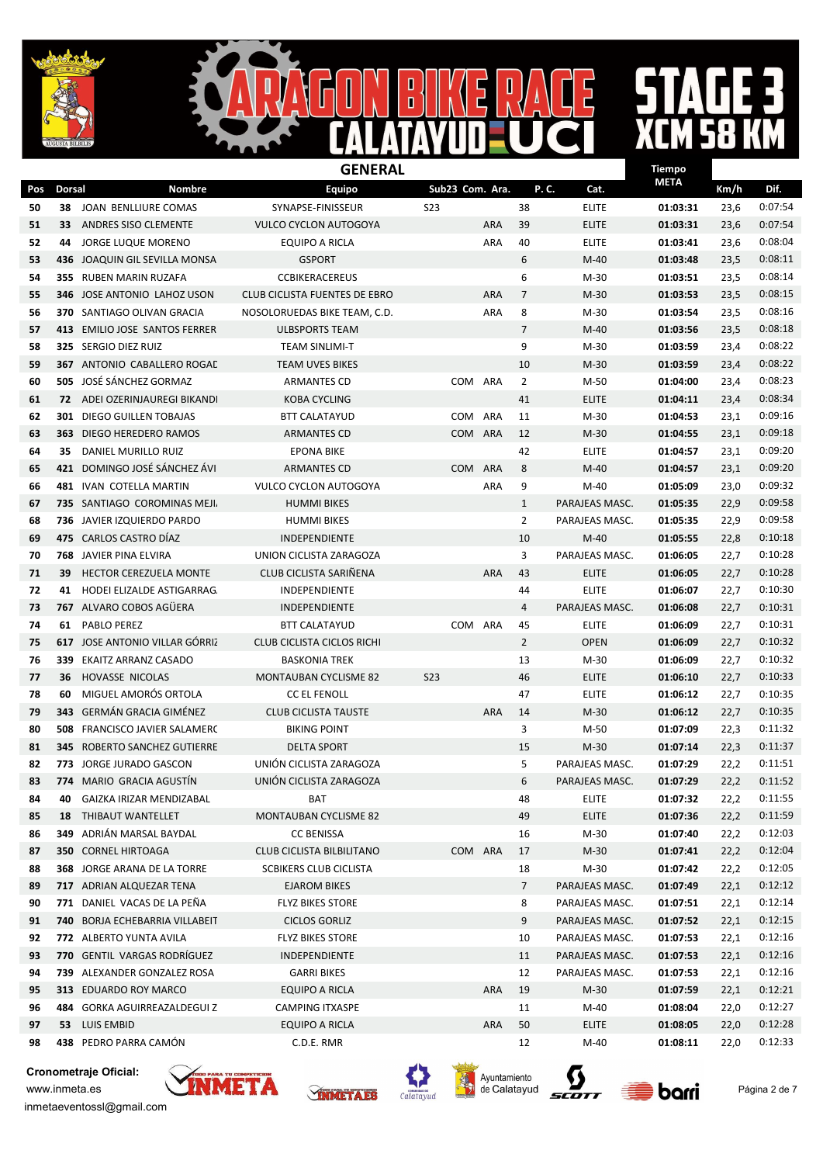

#### $\overline{\mathsf{B}}$  $\mathbf{I}$  $\mathbf{D}$  $\overline{\mathbf{D}}$

## 

|     |               |                                     | <b>GENERAL</b>                       |                 |            |                |                | <b>Tiempo</b> |      |         |
|-----|---------------|-------------------------------------|--------------------------------------|-----------------|------------|----------------|----------------|---------------|------|---------|
| Pos | <b>Dorsal</b> | <b>Nombre</b>                       | <b>Equipo</b>                        | Sub23 Com. Ara. |            |                | P.C.<br>Cat.   | <b>META</b>   | Km/h | Dif.    |
| 50  |               | 38 JOAN BENLLIURE COMAS             | SYNAPSE-FINISSEUR                    | <b>S23</b>      |            | 38             | <b>ELITE</b>   | 01:03:31      | 23,6 | 0:07:54 |
| 51  | 33            | ANDRES SISO CLEMENTE                | <b>VULCO CYCLON AUTOGOYA</b>         |                 | <b>ARA</b> | 39             | <b>ELITE</b>   | 01:03:31      | 23,6 | 0:07:54 |
| 52  | 44            | <b>JORGE LUQUE MORENO</b>           | <b>EQUIPO A RICLA</b>                |                 | ARA        | 40             | <b>ELITE</b>   | 01:03:41      | 23,6 | 0:08:04 |
| 53  | 436           | JOAQUIN GIL SEVILLA MONSA           | <b>GSPORT</b>                        |                 |            | 6              | $M-40$         | 01:03:48      | 23,5 | 0:08:11 |
| 54  |               | 355 RUBEN MARIN RUZAFA              | <b>CCBIKERACEREUS</b>                |                 |            | 6              | M-30           | 01:03:51      | 23,5 | 0:08:14 |
| 55  |               | <b>346 JOSE ANTONIO LAHOZ USON</b>  | <b>CLUB CICLISTA FUENTES DE EBRO</b> |                 | <b>ARA</b> | $\overline{7}$ | $M-30$         | 01:03:53      | 23,5 | 0:08:15 |
| 56  |               | 370 SANTIAGO OLIVAN GRACIA          | NOSOLORUEDAS BIKE TEAM, C.D.         |                 | ARA        | 8              | M-30           | 01:03:54      | 23,5 | 0:08:16 |
| 57  |               | 413 EMILIO JOSE SANTOS FERRER       | <b>ULBSPORTS TEAM</b>                |                 |            | $\overline{7}$ | $M-40$         | 01:03:56      | 23,5 | 0:08:18 |
| 58  |               | 325 SERGIO DIEZ RUIZ                | <b>TEAM SINLIMI-T</b>                |                 |            | 9              | $M-30$         | 01:03:59      | 23,4 | 0:08:22 |
| 59  |               | <b>367 ANTONIO CABALLERO ROGAL</b>  | <b>TEAM UVES BIKES</b>               |                 |            | 10             | $M-30$         | 01:03:59      | 23,4 | 0:08:22 |
| 60  |               | 505 JOSÉ SÁNCHEZ GORMAZ             | <b>ARMANTES CD</b>                   | COM             | ARA        | 2              | M-50           | 01:04:00      | 23,4 | 0:08:23 |
| 61  |               | 72 ADEI OZERINJAUREGI BIKANDI       | <b>KOBA CYCLING</b>                  |                 |            | 41             | <b>ELITE</b>   | 01:04:11      | 23,4 | 0:08:34 |
| 62  | 301           | DIEGO GUILLEN TOBAJAS               | <b>BTT CALATAYUD</b>                 | <b>COM</b>      | ARA        | 11             | $M-30$         | 01:04:53      | 23,1 | 0:09:16 |
| 63  | 363           | DIEGO HEREDERO RAMOS                | <b>ARMANTES CD</b>                   | <b>COM</b>      | <b>ARA</b> | 12             | $M-30$         | 01:04:55      | 23,1 | 0:09:18 |
| 64  | 35            | DANIEL MURILLO RUIZ                 | <b>EPONA BIKE</b>                    |                 |            | 42             | <b>ELITE</b>   | 01:04:57      | 23,1 | 0:09:20 |
| 65  | 421           | DOMINGO JOSÉ SÁNCHEZ ÁVI            | <b>ARMANTES CD</b>                   | <b>COM</b>      | <b>ARA</b> | 8              | $M-40$         | 01:04:57      | 23,1 | 0:09:20 |
| 66  |               | 481 IVAN COTELLA MARTIN             | <b>VULCO CYCLON AUTOGOYA</b>         |                 | ARA        | 9              | M-40           | 01:05:09      | 23,0 | 0:09:32 |
| 67  |               | 735 SANTIAGO COROMINAS MEJI.        | <b>HUMMI BIKES</b>                   |                 |            | $\mathbf{1}$   | PARAJEAS MASC. | 01:05:35      | 22,9 | 0:09:58 |
| 68  |               | 736 JAVIER IZQUIERDO PARDO          | <b>HUMMI BIKES</b>                   |                 |            | $\overline{2}$ | PARAJEAS MASC. | 01:05:35      | 22,9 | 0:09:58 |
| 69  |               | 475 CARLOS CASTRO DÍAZ              | INDEPENDIENTE                        |                 |            | 10             | $M-40$         | 01:05:55      | 22,8 | 0:10:18 |
| 70  | 768           | JAVIER PINA ELVIRA                  | UNION CICLISTA ZARAGOZA              |                 |            | 3              | PARAJEAS MASC. | 01:06:05      | 22,7 | 0:10:28 |
| 71  | 39            | <b>HECTOR CEREZUELA MONTE</b>       | CLUB CICLISTA SARIÑENA               |                 | <b>ARA</b> | 43             | <b>ELITE</b>   | 01:06:05      | 22,7 | 0:10:28 |
| 72  | 41            | HODEI ELIZALDE ASTIGARRAG.          | INDEPENDIENTE                        |                 |            | 44             | <b>ELITE</b>   | 01:06:07      | 22,7 | 0:10:30 |
| 73  |               | 767 ALVARO COBOS AGÜERA             | <b>INDEPENDIENTE</b>                 |                 |            | $\overline{4}$ | PARAJEAS MASC. | 01:06:08      | 22,7 | 0:10:31 |
| 74  | 61            | <b>PABLO PEREZ</b>                  | <b>BTT CALATAYUD</b>                 | <b>COM</b>      | ARA        | 45             | <b>ELITE</b>   | 01:06:09      | 22,7 | 0:10:31 |
| 75  |               | 617 JOSE ANTONIO VILLAR GÓRRIZ      | <b>CLUB CICLISTA CICLOS RICHI</b>    |                 |            | $\overline{2}$ | <b>OPEN</b>    | 01:06:09      | 22,7 | 0:10:32 |
| 76  |               | 339 EKAITZ ARRANZ CASADO            | <b>BASKONIA TREK</b>                 |                 |            | 13             | M-30           | 01:06:09      | 22,7 | 0:10:32 |
| 77  | 36            | HOVASSE NICOLAS                     | <b>MONTAUBAN CYCLISME 82</b>         | <b>S23</b>      |            | 46             | <b>ELITE</b>   | 01:06:10      | 22,7 | 0:10:33 |
| 78  | 60            | MIGUEL AMORÓS ORTOLA                | <b>CC EL FENOLL</b>                  |                 |            | 47             | <b>ELITE</b>   | 01:06:12      | 22,7 | 0:10:35 |
| 79  | 343           | GERMÁN GRACIA GIMÉNEZ               | <b>CLUB CICLISTA TAUSTE</b>          |                 | <b>ARA</b> | 14             | $M-30$         | 01:06:12      | 22,7 | 0:10:35 |
| 80  | 508           | FRANCISCO JAVIER SALAMERC           | <b>BIKING POINT</b>                  |                 |            | 3              | M-50           | 01:07:09      | 22,3 | 0:11:32 |
| 81  |               | <b>345 ROBERTO SANCHEZ GUTIERRE</b> | <b>DELTA SPORT</b>                   |                 |            | 15             | $M-30$         | 01:07:14      | 22,3 | 0:11:37 |
| 82  |               | 773 JORGE JURADO GASCON             | UNIÓN CICLISTA ZARAGOZA              |                 |            | 5              | PARAJEAS MASC. | 01:07:29      | 22,2 | 0:11:51 |
| 83  |               | 774 MARIO GRACIA AGUSTÍN            | UNIÓN CICLISTA ZARAGOZA              |                 |            | 6              | PARAJEAS MASC. | 01:07:29      | 22,2 | 0:11:52 |
| 84  | 40            | GAIZKA IRIZAR MENDIZABAL            | BAT                                  |                 |            | 48             | <b>ELITE</b>   | 01:07:32      | 22,2 | 0:11:55 |
| 85  | 18            | THIBAUT WANTELLET                   | MONTAUBAN CYCLISME 82                |                 |            | 49             | <b>ELITE</b>   | 01:07:36      | 22,2 | 0:11:59 |
| 86  |               | 349 ADRIÁN MARSAL BAYDAL            | <b>CC BENISSA</b>                    |                 |            | 16             | $M-30$         | 01:07:40      | 22,2 | 0:12:03 |
| 87  |               | <b>350 CORNEL HIRTOAGA</b>          | CLUB CICLISTA BILBILITANO            |                 | COM ARA    | 17             | M-30           | 01:07:41      | 22,2 | 0:12:04 |
| 88  |               | 368 JORGE ARANA DE LA TORRE         | SCBIKERS CLUB CICLISTA               |                 |            | 18             | M-30           | 01:07:42      | 22,2 | 0:12:05 |
| 89  |               | 717 ADRIAN ALQUEZAR TENA            | <b>EJAROM BIKES</b>                  |                 |            | 7              | PARAJEAS MASC. | 01:07:49      | 22,1 | 0:12:12 |
| 90  |               | 771 DANIEL VACAS DE LA PEÑA         | <b>FLYZ BIKES STORE</b>              |                 |            | 8              | PARAJEAS MASC. | 01:07:51      | 22,1 | 0:12:14 |
| 91  |               | 740 BORJA ECHEBARRIA VILLABEIT      | <b>CICLOS GORLIZ</b>                 |                 |            | 9              | PARAJEAS MASC. | 01:07:52      | 22,1 | 0:12:15 |
| 92  |               | 772 ALBERTO YUNTA AVILA             | <b>FLYZ BIKES STORE</b>              |                 |            | 10             | PARAJEAS MASC. | 01:07:53      | 22,1 | 0:12:16 |
| 93  |               | 770 GENTIL VARGAS RODRÍGUEZ         | INDEPENDIENTE                        |                 |            | 11             | PARAJEAS MASC. | 01:07:53      | 22,1 | 0:12:16 |
| 94  |               | 739 ALEXANDER GONZALEZ ROSA         | <b>GARRI BIKES</b>                   |                 |            | 12             | PARAJEAS MASC. | 01:07:53      | 22,1 | 0:12:16 |
| 95  |               | 313 EDUARDO ROY MARCO               | EQUIPO A RICLA                       |                 | <b>ARA</b> | 19             | $M-30$         | 01:07:59      | 22,1 | 0:12:21 |
| 96  | 484           | GORKA AGUIRREAZALDEGUI Z            | <b>CAMPING ITXASPE</b>               |                 |            | 11             | $M-40$         | 01:08:04      | 22,0 | 0:12:27 |
| 97  | 53            | LUIS EMBID                          | EQUIPO A RICLA                       |                 | ARA        | 50             | <b>ELITE</b>   | 01:08:05      | 22,0 | 0:12:28 |
| 98  |               | 438 PEDRO PARRA CAMÓN               | C.D.E. RMR                           |                 |            | 12             | M-40           | 01:08:11      | 22,0 | 0:12:33 |

Cronometraje Oficial:









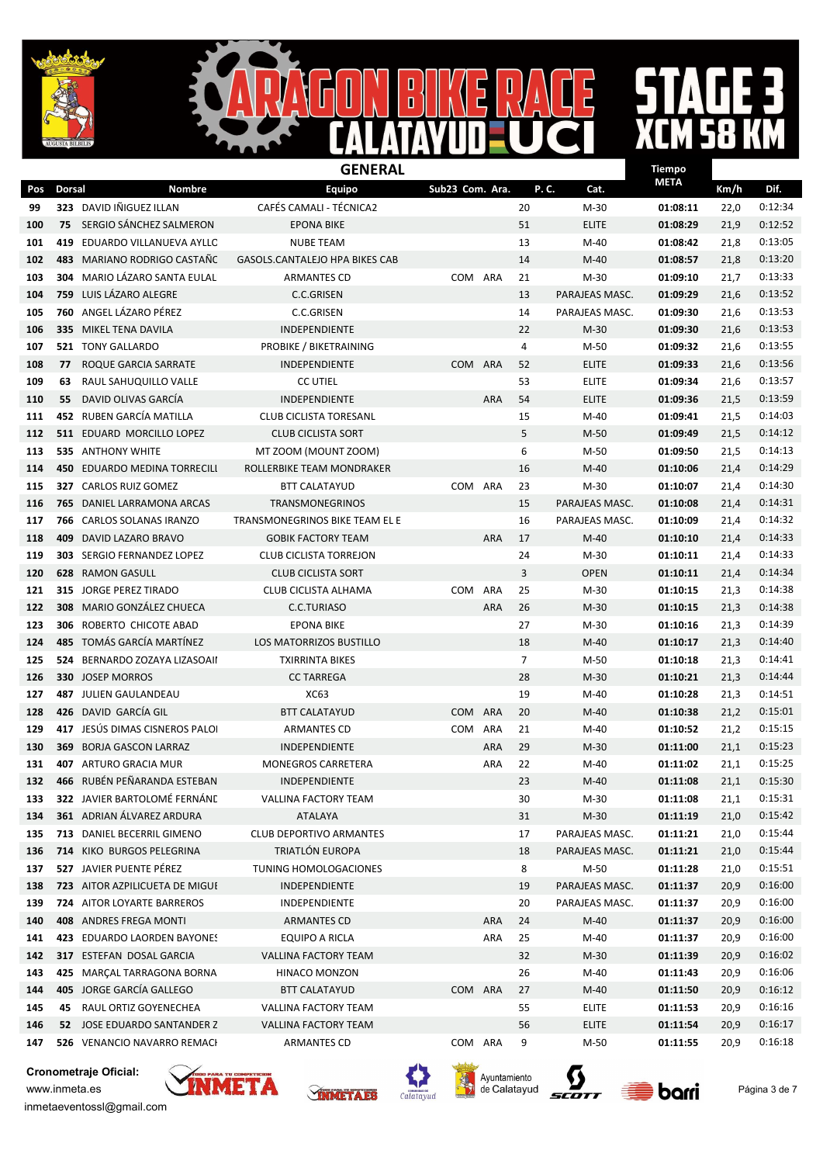



### $\bf M$  $\frac{1}{1}$

|     |               |                                       | <b>GENERAL</b>                        |                 |            |    |                | <b>Tiempo</b> |      |         |
|-----|---------------|---------------------------------------|---------------------------------------|-----------------|------------|----|----------------|---------------|------|---------|
| Pos | <b>Dorsal</b> | Nombre                                | <b>Equipo</b>                         | Sub23 Com. Ara. |            |    | P.C.<br>Cat.   | <b>META</b>   | Km/h | Dif.    |
| 99  |               | 323 DAVID INGUEZ ILLAN                | <b>CAFÉS CAMALI - TÉCNICA2</b>        |                 |            | 20 | $M-30$         | 01:08:11      | 22,0 | 0:12:34 |
| 100 | 75            | SERGIO SÁNCHEZ SALMERON               | <b>EPONA BIKE</b>                     |                 |            | 51 | <b>ELITE</b>   | 01:08:29      | 21,9 | 0:12:52 |
| 101 | 419           | EDUARDO VILLANUEVA AYLLC              | <b>NUBE TEAM</b>                      |                 |            | 13 | $M-40$         | 01:08:42      | 21,8 | 0:13:05 |
| 102 | 483           | MARIANO RODRIGO CASTAÑO               | GASOLS.CANTALEJO HPA BIKES CAB        |                 |            | 14 | $M-40$         | 01:08:57      | 21,8 | 0:13:20 |
| 103 | 304           | MARIO LÁZARO SANTA EULAL              | <b>ARMANTES CD</b>                    | COM             | ARA        | 21 | $M-30$         | 01:09:10      | 21,7 | 0:13:33 |
| 104 |               | 759 LUIS LÁZARO ALEGRE                | <b>C.C.GRISEN</b>                     |                 |            | 13 | PARAJEAS MASC. | 01:09:29      | 21,6 | 0:13:52 |
| 105 |               | 760 ANGEL LÁZARO PÉREZ                | C.C.GRISEN                            |                 |            | 14 | PARAJEAS MASC. | 01:09:30      | 21,6 | 0:13:53 |
| 106 |               | 335 MIKEL TENA DAVILA                 | <b>INDEPENDIENTE</b>                  |                 |            | 22 | $M-30$         | 01:09:30      | 21,6 | 0:13:53 |
| 107 |               | <b>521 TONY GALLARDO</b>              | PROBIKE / BIKETRAINING                |                 |            | 4  | $M-50$         | 01:09:32      | 21,6 | 0:13:55 |
| 108 | 77            | ROQUE GARCIA SARRATE                  | INDEPENDIENTE                         | <b>COM</b>      | ARA        | 52 | <b>ELITE</b>   | 01:09:33      | 21,6 | 0:13:56 |
| 109 | 63            | RAUL SAHUQUILLO VALLE                 | <b>CC UTIEL</b>                       |                 |            | 53 | <b>ELITE</b>   | 01:09:34      | 21,6 | 0:13:57 |
| 110 | 55            | DAVID OLIVAS GARCÍA                   | INDEPENDIENTE                         |                 | <b>ARA</b> | 54 | <b>ELITE</b>   | 01:09:36      | 21,5 | 0:13:59 |
| 111 |               | 452 RUBEN GARCÍA MATILLA              | <b>CLUB CICLISTA TORESANL</b>         |                 |            | 15 | $M-40$         | 01:09:41      | 21,5 | 0:14:03 |
| 112 |               | 511 EDUARD MORCILLO LOPEZ             | <b>CLUB CICLISTA SORT</b>             |                 |            | 5  | $M-50$         | 01:09:49      | 21,5 | 0:14:12 |
| 113 |               | <b>535 ANTHONY WHITE</b>              | MT ZOOM (MOUNT ZOOM)                  |                 |            | 6  | M-50           | 01:09:50      | 21,5 | 0:14:13 |
| 114 | 450           | EDUARDO MEDINA TORRECILI              | ROLLERBIKE TEAM MONDRAKER             |                 |            | 16 | $M-40$         | 01:10:06      | 21,4 | 0:14:29 |
| 115 |               | 327 CARLOS RUIZ GOMEZ                 | <b>BTT CALATAYUD</b>                  | COM ARA         |            | 23 | $M-30$         | 01:10:07      | 21,4 | 0:14:30 |
| 116 |               | <b>765 DANIEL LARRAMONA ARCAS</b>     | TRANSMONEGRINOS                       |                 |            | 15 | PARAJEAS MASC. | 01:10:08      | 21,4 | 0:14:31 |
| 117 | 766           | CARLOS SOLANAS IRANZO                 | <b>TRANSMONEGRINOS BIKE TEAM EL E</b> |                 |            | 16 | PARAJEAS MASC. | 01:10:09      | 21,4 | 0:14:32 |
| 118 | 409           | DAVID LAZARO BRAVO                    | <b>GOBIK FACTORY TEAM</b>             |                 | <b>ARA</b> | 17 | M-40           | 01:10:10      | 21,4 | 0:14:33 |
| 119 |               | 303 SERGIO FERNANDEZ LOPEZ            | <b>CLUB CICLISTA TORREJON</b>         |                 |            | 24 | $M-30$         | 01:10:11      | 21,4 | 0:14:33 |
| 120 |               | <b>628 RAMON GASULL</b>               | <b>CLUB CICLISTA SORT</b>             |                 |            | 3  | <b>OPEN</b>    | 01:10:11      | 21,4 | 0:14:34 |
| 121 |               | 315 JORGE PEREZ TIRADO                | CLUB CICLISTA ALHAMA                  | COM             | ARA        | 25 | $M-30$         | 01:10:15      | 21,3 | 0:14:38 |
| 122 | 308           | MARIO GONZÁLEZ CHUECA                 | C.C.TURIASO                           |                 | <b>ARA</b> | 26 | $M-30$         | 01:10:15      | 21,3 | 0:14:38 |
| 123 | 306           | ROBERTO CHICOTE ABAD                  | <b>EPONA BIKE</b>                     |                 |            | 27 | $M-30$         | 01:10:16      | 21,3 | 0:14:39 |
| 124 | 485           | TOMÁS GARCÍA MARTÍNEZ                 | LOS MATORRIZOS BUSTILLO               |                 |            | 18 | $M-40$         | 01:10:17      | 21,3 | 0:14:40 |
| 125 |               | 524 BERNARDO ZOZAYA LIZASOAII         | <b>TXIRRINTA BIKES</b>                |                 |            | 7  | $M-50$         | 01:10:18      | 21,3 | 0:14:41 |
| 126 |               | <b>330 JOSEP MORROS</b>               | <b>CC TARREGA</b>                     |                 |            | 28 | $M-30$         | 01:10:21      | 21,3 | 0:14:44 |
| 127 |               | 487 JULIEN GAULANDEAU                 | <b>XC63</b>                           |                 |            | 19 | M-40           | 01:10:28      | 21,3 | 0:14:51 |
| 128 |               | 426 DAVID GARCÍA GIL                  | <b>BTT CALATAYUD</b>                  | <b>COM</b>      | ARA        | 20 | M-40           | 01:10:38      | 21,2 | 0:15:01 |
| 129 |               | 417 JESÚS DIMAS CISNEROS PALOI        | <b>ARMANTES CD</b>                    | COM             | ARA        | 21 | M-40           | 01:10:52      | 21,2 | 0:15:15 |
| 130 |               | <b>369 BORJA GASCON LARRAZ</b>        | <b>INDEPENDIENTE</b>                  |                 | <b>ARA</b> | 29 | $M-30$         | 01:11:00      | 21,1 | 0:15:23 |
| 131 |               | 407 ARTURO GRACIA MUR                 | <b>MONEGROS CARRETERA</b>             |                 | <b>ARA</b> | 22 | $M-40$         | 01:11:02      | 21,1 | 0:15:25 |
| 132 |               | 466 RUBÉN PEÑARANDA ESTEBAN           | <b>INDEPENDIENTE</b>                  |                 |            | 23 | $M-40$         | 01:11:08      | 21,1 | 0:15:30 |
| 133 |               | 322 JAVIER BARTOLOMÉ FERNÁNE          | VALLINA FACTORY TEAM                  |                 |            | 30 | $M-30$         | 01:11:08      | 21,1 | 0:15:31 |
| 134 |               | 361 ADRIAN ÁLVAREZ ARDURA             | ATALAYA                               |                 |            | 31 | $M-30$         | 01:11:19      | 21,0 | 0:15:42 |
| 135 |               | 713 DANIEL BECERRIL GIMENO            | CLUB DEPORTIVO ARMANTES               |                 |            | 17 | PARAJEAS MASC. | 01:11:21      | 21,0 | 0:15:44 |
| 136 |               | 714 KIKO BURGOS PELEGRINA             | TRIATLÓN EUROPA                       |                 |            | 18 | PARAJEAS MASC. | 01:11:21      | 21,0 | 0:15:44 |
| 137 |               | 527 JAVIER PUENTE PÉREZ               | TUNING HOMOLOGACIONES                 |                 |            | 8  | M-50           | 01:11:28      | 21,0 | 0:15:51 |
| 138 |               | <b>723 AITOR AZPILICUETA DE MIGUE</b> | INDEPENDIENTE                         |                 |            | 19 | PARAJEAS MASC. | 01:11:37      | 20,9 | 0:16:00 |
| 139 |               | <b>724 AITOR LOYARTE BARREROS</b>     | INDEPENDIENTE                         |                 |            | 20 | PARAJEAS MASC. | 01:11:37      | 20,9 | 0:16:00 |
| 140 |               | 408 ANDRES FREGA MONTI                | ARMANTES CD                           |                 | ARA        | 24 | $M-40$         | 01:11:37      | 20,9 | 0:16:00 |
| 141 |               | 423 EDUARDO LAORDEN BAYONES           | EQUIPO A RICLA                        |                 | ARA        | 25 | M-40           | 01:11:37      | 20,9 | 0:16:00 |
| 142 |               | 317 ESTEFAN DOSAL GARCIA              | <b>VALLINA FACTORY TEAM</b>           |                 |            | 32 | $M-30$         | 01:11:39      | 20,9 | 0:16:02 |
| 143 |               | 425 MARÇAL TARRAGONA BORNA            | HINACO MONZON                         |                 |            | 26 | $M-40$         | 01:11:43      | 20,9 | 0:16:06 |
| 144 |               | 405 JORGE GARCÍA GALLEGO              | <b>BTT CALATAYUD</b>                  | COM ARA         |            | 27 | $M-40$         | 01:11:50      | 20,9 | 0:16:12 |
| 145 | 45            | RAUL ORTIZ GOYENECHEA                 | VALLINA FACTORY TEAM                  |                 |            | 55 | <b>ELITE</b>   | 01:11:53      | 20,9 | 0:16:16 |
| 146 |               | 52 JOSE EDUARDO SANTANDER Z           | VALLINA FACTORY TEAM                  |                 |            | 56 | ELITE          | 01:11:54      | 20,9 | 0:16:17 |
| 147 |               | 526 VENANCIO NAVARRO REMACI           | ARMANTES CD                           | COM ARA         |            | 9  | M-50           | 01:11:55      | 20,9 | 0:16:18 |









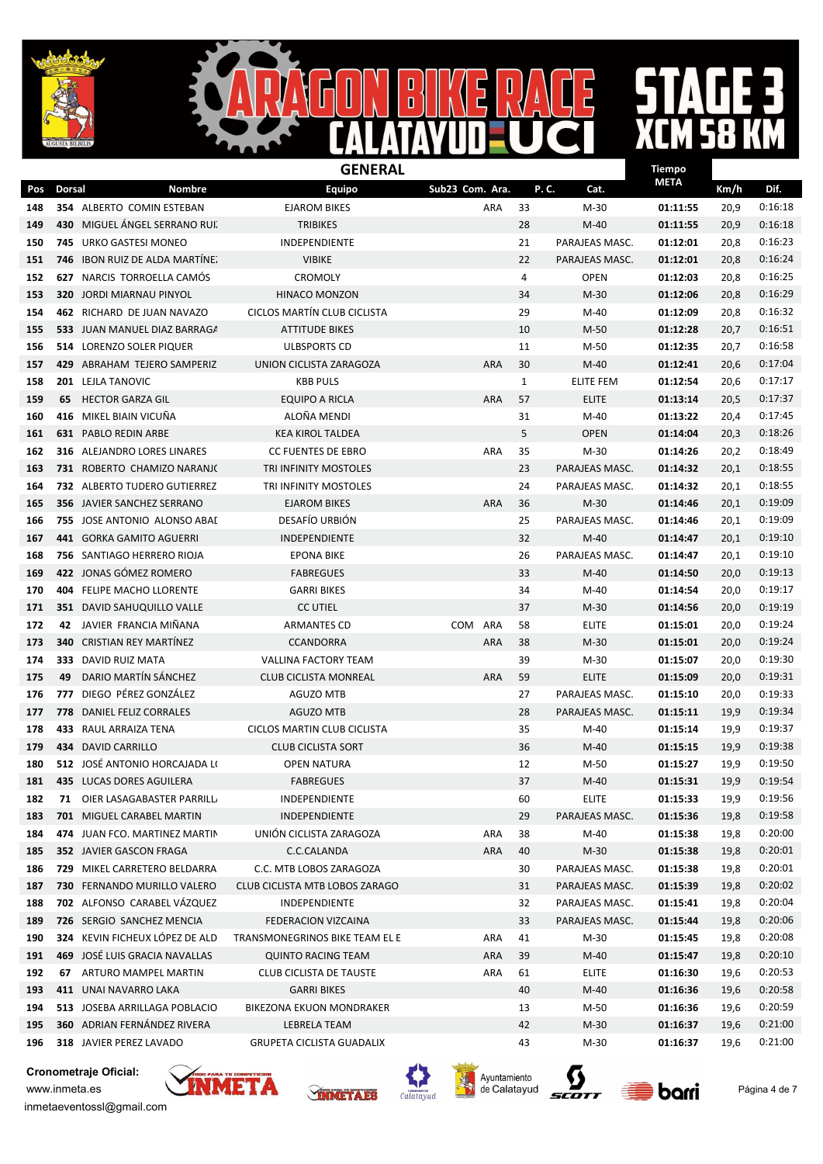

#### $\overrightarrow{5}$  $\mathbf{I}$  $\mathbf{D}$  $\overline{\mathbf{D}}$

### $\bf M$  $\frac{1}{1}$

|     |               |                                     | <b>GENERAL</b>                     |                   |              |                | <b>Tiempo</b> |      |         |
|-----|---------------|-------------------------------------|------------------------------------|-------------------|--------------|----------------|---------------|------|---------|
| Pos | <b>Dorsal</b> | Nombre                              | <b>Equipo</b>                      | Sub23 Com. Ara.   | P.C.         | Cat.           | <b>META</b>   | Km/h | Dif.    |
| 148 |               | 354 ALBERTO COMIN ESTEBAN           | <b>EJAROM BIKES</b>                | ARA               | 33           | $M-30$         | 01:11:55      | 20,9 | 0:16:18 |
| 149 | 430           | MIGUEL ANGEL SERRANO RUI.           | <b>TRIBIKES</b>                    |                   | 28           | $M-40$         | 01:11:55      | 20,9 | 0:16:18 |
| 150 | 745           | URKO GASTESI MONEO                  | INDEPENDIENTE                      |                   | 21           | PARAJEAS MASC. | 01:12:01      | 20,8 | 0:16:23 |
| 151 | 746           | <b>IBON RUIZ DE ALDA MARTINE.</b>   | <b>VIBIKE</b>                      |                   | 22           | PARAJEAS MASC. | 01:12:01      | 20,8 | 0:16:24 |
| 152 | 627           | NARCIS TORROELLA CAMÓS              | <b>CROMOLY</b>                     |                   | 4            | <b>OPEN</b>    | 01:12:03      | 20,8 | 0:16:25 |
| 153 | 320           | JORDI MIARNAU PINYOL                | <b>HINACO MONZON</b>               |                   | 34           | $M-30$         | 01:12:06      | 20,8 | 0:16:29 |
| 154 |               | 462 RICHARD DE JUAN NAVAZO          | CICLOS MARTÍN CLUB CICLISTA        |                   | 29           | $M-40$         | 01:12:09      | 20,8 | 0:16:32 |
| 155 |               | 533 JUAN MANUEL DIAZ BARRAGA        | <b>ATTITUDE BIKES</b>              |                   | 10           | M-50           | 01:12:28      | 20,7 | 0:16:51 |
| 156 |               | 514 LORENZO SOLER PIQUER            | <b>ULBSPORTS CD</b>                |                   | 11           | M-50           | 01:12:35      | 20,7 | 0:16:58 |
| 157 |               | 429 ABRAHAM TEJERO SAMPERIZ         | UNION CICLISTA ZARAGOZA            | <b>ARA</b>        | 30           | $M-40$         | 01:12:41      | 20,6 | 0:17:04 |
| 158 |               | 201 LEJLA TANOVIC                   | <b>KBB PULS</b>                    |                   | $\mathbf{1}$ | ELITE FEM      | 01:12:54      | 20,6 | 0:17:17 |
| 159 | 65            | <b>HECTOR GARZA GIL</b>             | <b>EQUIPO A RICLA</b>              | <b>ARA</b>        | 57           | <b>ELITE</b>   | 01:13:14      | 20,5 | 0:17:37 |
| 160 | 416           | MIKEL BIAIN VICUÑA                  | ALOÑA MENDI                        |                   | 31           | $M-40$         | 01:13:22      | 20,4 | 0:17:45 |
| 161 |               | <b>631 PABLO REDIN ARBE</b>         | <b>KEA KIROL TALDEA</b>            |                   | 5            | <b>OPEN</b>    | 01:14:04      | 20,3 | 0:18:26 |
| 162 | 316           | ALEJANDRO LORES LINARES             | <b>CC FUENTES DE EBRO</b>          | ARA               | 35           | $M-30$         | 01:14:26      | 20,2 | 0:18:49 |
| 163 |               | 731 ROBERTO CHAMIZO NARANJO         | TRI INFINITY MOSTOLES              |                   | 23           | PARAJEAS MASC. | 01:14:32      | 20,1 | 0:18:55 |
| 164 |               | <b>732 ALBERTO TUDERO GUTIERREZ</b> | TRI INFINITY MOSTOLES              |                   | 24           | PARAJEAS MASC. | 01:14:32      | 20,1 | 0:18:55 |
| 165 |               | 356 JAVIER SANCHEZ SERRANO          | <b>EJAROM BIKES</b>                | ARA               | 36           | $M-30$         | 01:14:46      | 20,1 | 0:19:09 |
| 166 |               | 755 JOSE ANTONIO ALONSO ABAI        | DESAFÍO URBIÓN                     |                   | 25           | PARAJEAS MASC. | 01:14:46      | 20,1 | 0:19:09 |
| 167 |               | <b>441 GORKA GAMITO AGUERRI</b>     | <b>INDEPENDIENTE</b>               |                   | 32           | $M-40$         | 01:14:47      | 20,1 | 0:19:10 |
| 168 |               | 756 SANTIAGO HERRERO RIOJA          | <b>EPONA BIKE</b>                  |                   | 26           | PARAJEAS MASC. | 01:14:47      | 20,1 | 0:19:10 |
| 169 |               | 422 JONAS GÓMEZ ROMERO              | <b>FABREGUES</b>                   |                   | 33           | $M-40$         | 01:14:50      | 20,0 | 0:19:13 |
| 170 |               | 404 FELIPE MACHO LLORENTE           | <b>GARRI BIKES</b>                 |                   | 34           | M-40           | 01:14:54      | 20,0 | 0:19:17 |
| 171 |               | <b>351 DAVID SAHUQUILLO VALLE</b>   | <b>CC UTIEL</b>                    |                   | 37           | $M-30$         | 01:14:56      | 20,0 | 0:19:19 |
| 172 | 42            | JAVIER FRANCIA MIÑANA               | <b>ARMANTES CD</b>                 | <b>COM</b><br>ARA | 58           | <b>ELITE</b>   | 01:15:01      | 20,0 | 0:19:24 |
| 173 | 340           | <b>CRISTIAN REY MARTÍNEZ</b>        | <b>CCANDORRA</b>                   | <b>ARA</b>        | 38           | $M-30$         | 01:15:01      | 20,0 | 0:19:24 |
| 174 | 333           | DAVID RUIZ MATA                     | <b>VALLINA FACTORY TEAM</b>        |                   | 39           | $M-30$         | 01:15:07      | 20,0 | 0:19:30 |
| 175 | 49            | DARIO MARTÍN SÁNCHEZ                | <b>CLUB CICLISTA MONREAL</b>       | ARA               | 59           | <b>ELITE</b>   | 01:15:09      | 20,0 | 0:19:31 |
| 176 | 777           | DIEGO PÉREZ GONZÁLEZ                | AGUZO MTB                          |                   | 27           | PARAJEAS MASC. | 01:15:10      | 20,0 | 0:19:33 |
| 177 | 778           | DANIEL FELIZ CORRALES               | <b>AGUZO MTB</b>                   |                   | 28           | PARAJEAS MASC. | 01:15:11      | 19,9 | 0:19:34 |
| 178 | 433           | RAUL ARRAIZA TENA                   | <b>CICLOS MARTIN CLUB CICLISTA</b> |                   | 35           | $M-40$         | 01:15:14      | 19,9 | 0:19:37 |
| 179 |               | 434 DAVID CARRILLO                  | <b>CLUB CICLISTA SORT</b>          |                   | 36           | $M-40$         | 01:15:15      | 19,9 | 0:19:38 |
| 180 |               | 512 JOSÉ ANTONIO HORCAJADA LI       | <b>OPEN NATURA</b>                 |                   | 12           | M-50           | 01:15:27      | 19,9 | 0:19:50 |
| 181 |               | 435 LUCAS DORES AGUILERA            | <b>FABREGUES</b>                   |                   | 37           | $M-40$         | 01:15:31      | 19,9 | 0:19:54 |
| 182 |               | 71 OIER LASAGABASTER PARRILL        | INDEPENDIENTE                      |                   | 60           | <b>ELITE</b>   | 01:15:33      | 19,9 | 0:19:56 |
| 183 |               | 701 MIGUEL CARABEL MARTIN           | INDEPENDIENTE                      |                   | 29           | PARAJEAS MASC. | 01:15:36      | 19,8 | 0:19:58 |
| 184 |               | 474 JUAN FCO. MARTINEZ MARTIN       | UNIÓN CICLISTA ZARAGOZA            | ARA               | 38           | M-40           | 01:15:38      | 19,8 | 0:20:00 |
| 185 |               | 352 JAVIER GASCON FRAGA             | C.C.CALANDA                        | ARA               | 40           | $M-30$         | 01:15:38      | 19,8 | 0:20:01 |
| 186 |               | 729 MIKEL CARRETERO BELDARRA        | C.C. MTB LOBOS ZARAGOZA            |                   | 30           | PARAJEAS MASC. | 01:15:38      | 19,8 | 0:20:01 |
| 187 |               | 730 FERNANDO MURILLO VALERO         | CLUB CICLISTA MTB LOBOS ZARAGO     |                   | 31           | PARAJEAS MASC. | 01:15:39      | 19,8 | 0:20:02 |
| 188 |               | 702 ALFONSO CARABEL VÁZQUEZ         | INDEPENDIENTE                      |                   | 32           | PARAJEAS MASC. | 01:15:41      | 19,8 | 0:20:04 |
| 189 |               | 726 SERGIO SANCHEZ MENCIA           | FEDERACION VIZCAINA                |                   | 33           | PARAJEAS MASC. | 01:15:44      | 19,8 | 0:20:06 |
| 190 |               | 324 KEVIN FICHEUX LÓPEZ DE ALD      | TRANSMONEGRINOS BIKE TEAM EL E     | ARA               | 41           | M-30           | 01:15:45      | 19,8 | 0:20:08 |
| 191 |               | 469 JOSÉ LUIS GRACIA NAVALLAS       | <b>QUINTO RACING TEAM</b>          | <b>ARA</b>        | 39           | $M-40$         | 01:15:47      | 19,8 | 0:20:10 |
| 192 | 67            | ARTURO MAMPEL MARTIN                | <b>CLUB CICLISTA DE TAUSTE</b>     | ARA               | 61           | <b>ELITE</b>   | 01:16:30      | 19,6 | 0:20:53 |
| 193 |               | 411 UNAI NAVARRO LAKA               | <b>GARRI BIKES</b>                 |                   | 40           | $M-40$         | 01:16:36      | 19,6 | 0:20:58 |
| 194 |               | 513 JOSEBA ARRILLAGA POBLACIO       | BIKEZONA EKUON MONDRAKER           |                   | 13           | M-50           | 01:16:36      | 19,6 | 0:20:59 |
| 195 |               | 360 ADRIAN FERNÁNDEZ RIVERA         | LEBRELA TEAM                       |                   | 42           | M-30           | 01:16:37      | 19,6 | 0:21:00 |
| 196 |               | 318 JAVIER PEREZ LAVADO             | <b>GRUPETA CICLISTA GUADALIX</b>   |                   | 43           | $M-30$         | 01:16:37      | 19,6 | 0:21:00 |









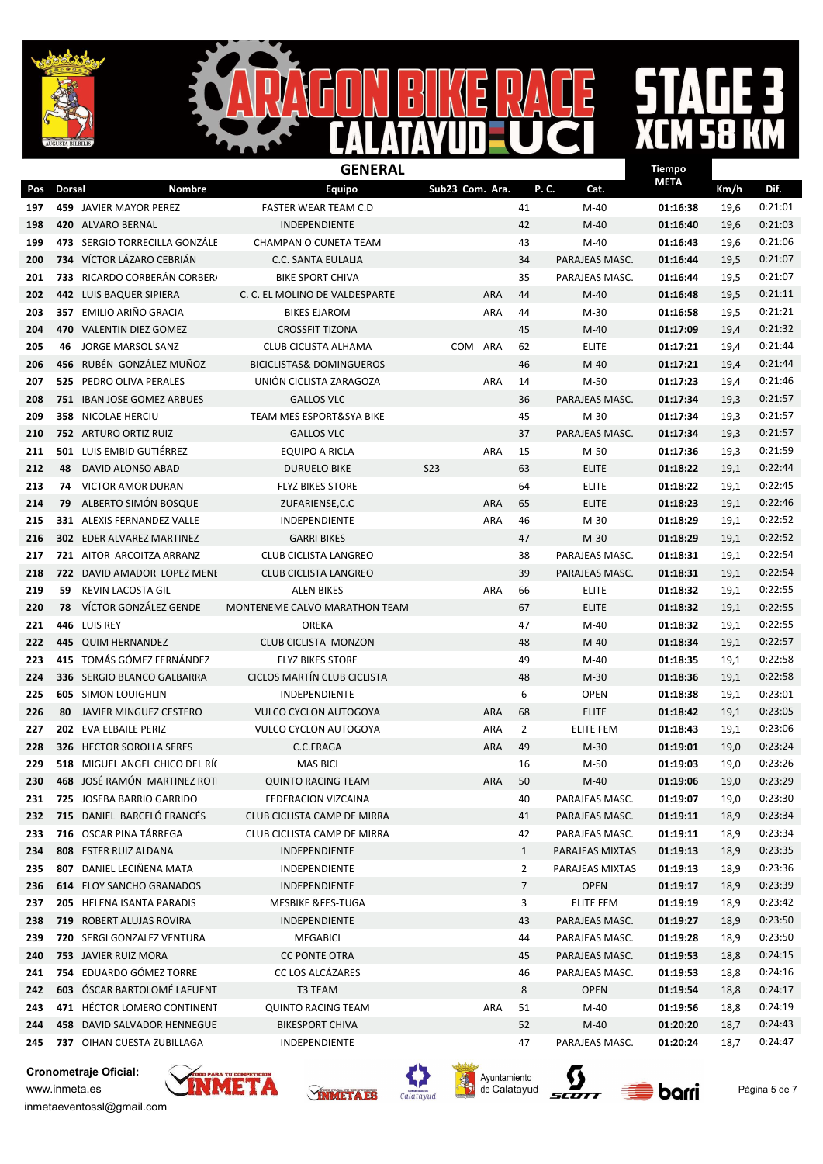



### $\mathbf{I}$

|     |               |                                  | <b>GENERAL</b>                      |                 |            |                |                 | <b>Tiempo</b> |      |         |
|-----|---------------|----------------------------------|-------------------------------------|-----------------|------------|----------------|-----------------|---------------|------|---------|
| Pos | <b>Dorsal</b> | <b>Nombre</b>                    | <b>Equipo</b>                       | Sub23 Com. Ara. |            | P.C.           | Cat.            | <b>META</b>   | Km/h | Dif.    |
| 197 |               | 459 JAVIER MAYOR PEREZ           | <b>FASTER WEAR TEAM C.D</b>         |                 |            | 41             | $M-40$          | 01:16:38      | 19,6 | 0:21:01 |
| 198 |               | 420 ALVARO BERNAL                | <b>INDEPENDIENTE</b>                |                 |            | 42             | $M-40$          | 01:16:40      | 19,6 | 0:21:03 |
| 199 |               | 473 SERGIO TORRECILLA GONZÁLE    | CHAMPAN O CUNETA TEAM               |                 |            | 43             | $M-40$          | 01:16:43      | 19,6 | 0:21:06 |
| 200 | 734           | VÍCTOR LÁZARO CEBRIÁN            | C.C. SANTA EULALIA                  |                 |            | 34             | PARAJEAS MASC.  | 01:16:44      | 19,5 | 0:21:07 |
| 201 | 733           | RICARDO CORBERÁN CORBER          | <b>BIKE SPORT CHIVA</b>             |                 |            | 35             | PARAJEAS MASC.  | 01:16:44      | 19,5 | 0:21:07 |
| 202 | 442           | LUIS BAQUER SIPIERA              | C. C. EL MOLINO DE VALDESPARTE      |                 | <b>ARA</b> | 44             | $M-40$          | 01:16:48      | 19,5 | 0:21:11 |
| 203 |               | 357 EMILIO ARIÑO GRACIA          | <b>BIKES EJAROM</b>                 |                 | ARA        | 44             | M-30            | 01:16:58      | 19,5 | 0:21:21 |
| 204 |               | 470 VALENTIN DIEZ GOMEZ          | <b>CROSSFIT TIZONA</b>              |                 |            | 45             | $M-40$          | 01:17:09      | 19,4 | 0:21:32 |
| 205 | 46            | JORGE MARSOL SANZ                | <b>CLUB CICLISTA ALHAMA</b>         | <b>COM</b>      | ARA        | 62             | <b>ELITE</b>    | 01:17:21      | 19,4 | 0:21:44 |
| 206 |               | 456 RUBÉN GONZÁLEZ MUÑOZ         | <b>BICICLISTAS&amp; DOMINGUEROS</b> |                 |            | 46             | $M-40$          | 01:17:21      | 19,4 | 0:21:44 |
| 207 |               | 525 PEDRO OLIVA PERALES          | UNIÓN CICLISTA ZARAGOZA             |                 | <b>ARA</b> | 14             | $M-50$          | 01:17:23      | 19,4 | 0:21:46 |
| 208 |               | 751 IBAN JOSE GOMEZ ARBUES       | <b>GALLOS VLC</b>                   |                 |            | 36             | PARAJEAS MASC.  | 01:17:34      | 19,3 | 0:21:57 |
| 209 |               | 358 NICOLAE HERCIU               | TEAM MES ESPORT&SYA BIKE            |                 |            | 45             | $M-30$          | 01:17:34      | 19,3 | 0:21:57 |
| 210 |               | 752 ARTURO ORTIZ RUIZ            | <b>GALLOS VLC</b>                   |                 |            | 37             | PARAJEAS MASC.  | 01:17:34      | 19,3 | 0:21:57 |
| 211 | 501           | LUIS EMBID GUTIÉRREZ             | EQUIPO A RICLA                      |                 | <b>ARA</b> | 15             | M-50            | 01:17:36      | 19,3 | 0:21:59 |
| 212 | 48            | DAVID ALONSO ABAD                | <b>DURUELO BIKE</b>                 | <b>S23</b>      |            | 63             | <b>ELITE</b>    | 01:18:22      | 19,1 | 0:22:44 |
| 213 | 74            | <b>VICTOR AMOR DURAN</b>         | <b>FLYZ BIKES STORE</b>             |                 |            | 64             | <b>ELITE</b>    | 01:18:22      | 19,1 | 0:22:45 |
| 214 | 79            | ALBERTO SIMÓN BOSQUE             | ZUFARIENSE, C.C                     |                 | <b>ARA</b> | 65             | <b>ELITE</b>    | 01:18:23      | 19,1 | 0:22:46 |
| 215 |               | 331 ALEXIS FERNANDEZ VALLE       | INDEPENDIENTE                       |                 | <b>ARA</b> | 46             | $M-30$          | 01:18:29      | 19,1 | 0:22:52 |
| 216 |               | <b>302 EDER ALVAREZ MARTINEZ</b> | <b>GARRI BIKES</b>                  |                 |            | 47             | $M-30$          | 01:18:29      | 19,1 | 0:22:52 |
| 217 |               | 721 AITOR ARCOITZA ARRANZ        | <b>CLUB CICLISTA LANGREO</b>        |                 |            | 38             | PARAJEAS MASC.  | 01:18:31      | 19,1 | 0:22:54 |
| 218 | 722           | DAVID AMADOR LOPEZ MENE          | <b>CLUB CICLISTA LANGREO</b>        |                 |            | 39             | PARAJEAS MASC.  | 01:18:31      | 19,1 | 0:22:54 |
| 219 | 59            | <b>KEVIN LACOSTA GIL</b>         | ALEN BIKES                          |                 | ARA        | 66             | <b>ELITE</b>    | 01:18:32      | 19,1 | 0:22:55 |
| 220 | 78            | VÍCTOR GONZÁLEZ GENDE            | MONTENEME CALVO MARATHON TEAM       |                 |            | 67             | <b>ELITE</b>    | 01:18:32      | 19,1 | 0:22:55 |
| 221 | 446           | LUIS REY                         | OREKA                               |                 |            | 47             | M-40            | 01:18:32      | 19,1 | 0:22:55 |
| 222 | 445           | <b>QUIM HERNANDEZ</b>            | CLUB CICLISTA MONZON                |                 |            | 48             | $M-40$          | 01:18:34      | 19,1 | 0:22:57 |
| 223 |               | 415 TOMÁS GÓMEZ FERNÁNDEZ        | <b>FLYZ BIKES STORE</b>             |                 |            | 49             | M-40            | 01:18:35      | 19,1 | 0:22:58 |
| 224 |               | 336 SERGIO BLANCO GALBARRA       | CICLOS MARTÍN CLUB CICLISTA         |                 |            | 48             | $M-30$          | 01:18:36      | 19,1 | 0:22:58 |
| 225 |               | <b>605 SIMON LOUIGHLIN</b>       | INDEPENDIENTE                       |                 |            | 6              | <b>OPEN</b>     | 01:18:38      | 19,1 | 0:23:01 |
| 226 | 80            | JAVIER MINGUEZ CESTERO           | <b>VULCO CYCLON AUTOGOYA</b>        |                 | <b>ARA</b> | 68             | <b>ELITE</b>    | 01:18:42      | 19,1 | 0:23:05 |
| 227 |               | 202 EVA ELBAILE PERIZ            | <b>VULCO CYCLON AUTOGOYA</b>        |                 | <b>ARA</b> | $\overline{2}$ | ELITE FEM       | 01:18:43      | 19,1 | 0:23:06 |
| 228 |               | <b>326 HECTOR SOROLLA SERES</b>  | C.C.FRAGA                           |                 | <b>ARA</b> | 49             | $M-30$          | 01:19:01      | 19,0 | 0:23:24 |
| 229 |               | 518 MIGUEL ANGEL CHICO DEL RÍO   | <b>MAS BICI</b>                     |                 |            | 16             | $M-50$          | 01:19:03      | 19,0 | 0:23:26 |
| 230 |               | 468 JOSÉ RAMÓN MARTINEZ ROT      | <b>QUINTO RACING TEAM</b>           |                 | ARA        | 50             | $M-40$          | 01:19:06      | 19,0 | 0:23:29 |
| 231 |               | 725 JOSEBA BARRIO GARRIDO        | FEDERACION VIZCAINA                 |                 |            | 40             | PARAJEAS MASC.  | 01:19:07      | 19,0 | 0:23:30 |
| 232 |               | 715 DANIEL BARCELÓ FRANCÉS       | CLUB CICLISTA CAMP DE MIRRA         |                 |            | 41             | PARAJEAS MASC.  | 01:19:11      | 18,9 | 0:23:34 |
| 233 |               | 716 OSCAR PINA TÁRREGA           | CLUB CICLISTA CAMP DE MIRRA         |                 |            | 42             | PARAJEAS MASC.  | 01:19:11      | 18,9 | 0:23:34 |
| 234 |               | 808 ESTER RUIZ ALDANA            | <b>INDEPENDIENTE</b>                |                 |            | $\mathbf{1}$   | PARAJEAS MIXTAS | 01:19:13      | 18,9 | 0:23:35 |
| 235 |               | 807 DANIEL LECIÑENA MATA         | INDEPENDIENTE                       |                 |            | $\overline{2}$ | PARAJEAS MIXTAS | 01:19:13      | 18,9 | 0:23:36 |
| 236 |               | <b>614 ELOY SANCHO GRANADOS</b>  | INDEPENDIENTE                       |                 |            | 7              | OPEN            | 01:19:17      | 18,9 | 0:23:39 |
| 237 |               | 205 HELENA ISANTA PARADIS        | <b>MESBIKE &amp;FES-TUGA</b>        |                 |            | 3              | ELITE FEM       | 01:19:19      | 18,9 | 0:23:42 |
| 238 |               | 719 ROBERT ALUJAS ROVIRA         | INDEPENDIENTE                       |                 |            | 43             | PARAJEAS MASC.  | 01:19:27      | 18,9 | 0:23:50 |
| 239 |               | 720 SERGI GONZALEZ VENTURA       | MEGABICI                            |                 |            | 44             | PARAJEAS MASC.  | 01:19:28      | 18,9 | 0:23:50 |
| 240 |               | 753 JAVIER RUIZ MORA             | <b>CC PONTE OTRA</b>                |                 |            | 45             | PARAJEAS MASC.  | 01:19:53      | 18,8 | 0:24:15 |
| 241 |               | 754 EDUARDO GÓMEZ TORRE          | CC LOS ALCÁZARES                    |                 |            | 46             | PARAJEAS MASC.  | 01:19:53      | 18,8 | 0:24:16 |
| 242 |               | 603 ÓSCAR BARTOLOMÉ LAFUENT      | T3 TEAM                             |                 |            | 8              | <b>OPEN</b>     | 01:19:54      | 18,8 | 0:24:17 |
| 243 |               | 471 HÉCTOR LOMERO CONTINENT      | <b>QUINTO RACING TEAM</b>           |                 | ARA        | 51             | M-40            | 01:19:56      | 18,8 | 0:24:19 |
| 244 |               | 458 DAVID SALVADOR HENNEGUE      | <b>BIKESPORT CHIVA</b>              |                 |            | 52             | M-40            | 01:20:20      | 18,7 | 0:24:43 |
| 245 |               | 737 OIHAN CUESTA ZUBILLAGA       | INDEPENDIENTE                       |                 |            | 47             | PARAJEAS MASC.  | 01:20:24      | 18,7 | 0:24:47 |









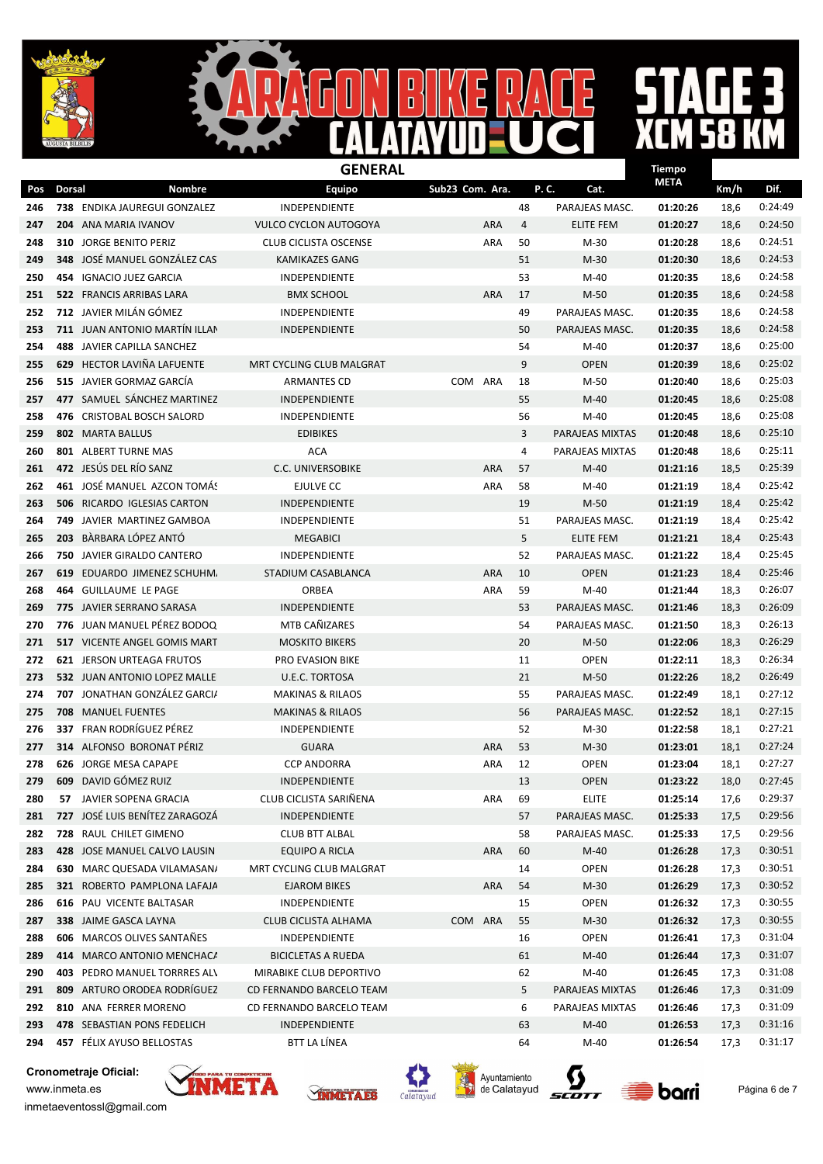



## $\mathbf{R}$

|     |               | <b>GENERAL</b>                      |                              |                 |            |      |                  | <b>Tiempo</b> |      |         |  |
|-----|---------------|-------------------------------------|------------------------------|-----------------|------------|------|------------------|---------------|------|---------|--|
| Pos | <b>Dorsal</b> | Nombre                              | <b>Equipo</b>                | Sub23 Com. Ara. |            | P.C. | Cat.             | <b>META</b>   | Km/h | Dif.    |  |
| 246 |               | 738 ENDIKA JAUREGUI GONZALEZ        | INDEPENDIENTE                |                 |            | 48   | PARAJEAS MASC.   | 01:20:26      | 18,6 | 0:24:49 |  |
| 247 | 204           | ANA MARIA IVANOV                    | <b>VULCO CYCLON AUTOGOYA</b> |                 | <b>ARA</b> | 4    | ELITE FEM        | 01:20:27      | 18,6 | 0:24:50 |  |
| 248 |               | 310 JORGE BENITO PERIZ              | <b>CLUB CICLISTA OSCENSE</b> |                 | ARA        | 50   | $M-30$           | 01:20:28      | 18,6 | 0:24:51 |  |
| 249 | 348           | JOSÉ MANUEL GONZÁLEZ CAS            | KAMIKAZES GANG               |                 |            | 51   | M-30             | 01:20:30      | 18,6 | 0:24:53 |  |
| 250 | 454           | <b>IGNACIO JUEZ GARCIA</b>          | <b>INDEPENDIENTE</b>         |                 |            | 53   | M-40             | 01:20:35      | 18,6 | 0:24:58 |  |
| 251 |               | 522 FRANCIS ARRIBAS LARA            | <b>BMX SCHOOL</b>            |                 | <b>ARA</b> | 17   | $M-50$           | 01:20:35      | 18,6 | 0:24:58 |  |
| 252 |               | 712 JAVIER MILÁN GÓMEZ              | <b>INDEPENDIENTE</b>         |                 |            | 49   | PARAJEAS MASC.   | 01:20:35      | 18,6 | 0:24:58 |  |
| 253 |               | 711 JUAN ANTONIO MARTÍN ILLAN       | <b>INDEPENDIENTE</b>         |                 |            | 50   | PARAJEAS MASC.   | 01:20:35      | 18,6 | 0:24:58 |  |
| 254 |               | 488 JAVIER CAPILLA SANCHEZ          |                              |                 |            | 54   | M-40             | 01:20:37      | 18,6 | 0:25:00 |  |
| 255 |               | 629 HECTOR LAVIÑA LAFUENTE          | MRT CYCLING CLUB MALGRAT     |                 |            | 9    | <b>OPEN</b>      | 01:20:39      | 18,6 | 0:25:02 |  |
| 256 |               | 515 JAVIER GORMAZ GARCÍA            | <b>ARMANTES CD</b>           | COM             | ARA        | 18   | M-50             | 01:20:40      | 18,6 | 0:25:03 |  |
| 257 |               | 477 SAMUEL SÁNCHEZ MARTINEZ         | <b>INDEPENDIENTE</b>         |                 |            | 55   | $M-40$           | 01:20:45      | 18,6 | 0:25:08 |  |
| 258 | 476           | <b>CRISTOBAL BOSCH SALORD</b>       | INDEPENDIENTE                |                 |            | 56   | $M-40$           | 01:20:45      | 18,6 | 0:25:08 |  |
| 259 |               | <b>802 MARTA BALLUS</b>             | <b>EDIBIKES</b>              |                 |            | 3    | PARAJEAS MIXTAS  | 01:20:48      | 18,6 | 0:25:10 |  |
| 260 |               | 801 ALBERT TURNE MAS                | <b>ACA</b>                   |                 |            | 4    | PARAJEAS MIXTAS  | 01:20:48      | 18,6 | 0:25:11 |  |
| 261 |               | 472 JESÚS DEL RÍO SANZ              | <b>C.C. UNIVERSOBIKE</b>     |                 | <b>ARA</b> | 57   | $M-40$           | 01:21:16      | 18,5 | 0:25:39 |  |
| 262 |               | 461 JOSÉ MANUEL AZCON TOMÁS         | EJULVE CC                    |                 | ARA        | 58   | M-40             | 01:21:19      | 18,4 | 0:25:42 |  |
| 263 |               | <b>506 RICARDO IGLESIAS CARTON</b>  | <b>INDEPENDIENTE</b>         |                 |            | 19   | $M-50$           | 01:21:19      | 18,4 | 0:25:42 |  |
| 264 |               | <b>749 JAVIER MARTINEZ GAMBOA</b>   | INDEPENDIENTE                |                 |            | 51   | PARAJEAS MASC.   | 01:21:19      | 18,4 | 0:25:42 |  |
| 265 |               | 203 BÀRBARA LÓPEZ ANTÓ              | MEGABICI                     |                 |            | 5    | <b>ELITE FEM</b> | 01:21:21      | 18,4 | 0:25:43 |  |
| 266 |               | 750 JAVIER GIRALDO CANTERO          | INDEPENDIENTE                |                 |            | 52   | PARAJEAS MASC.   | 01:21:22      | 18,4 | 0:25:45 |  |
| 267 |               | 619 EDUARDO JIMENEZ SCHUHM.         | STADIUM CASABLANCA           |                 | <b>ARA</b> | 10   | <b>OPEN</b>      | 01:21:23      | 18,4 | 0:25:46 |  |
| 268 |               | 464 GUILLAUME LE PAGE               | ORBEA                        |                 | <b>ARA</b> | 59   | M-40             | 01:21:44      | 18,3 | 0:26:07 |  |
| 269 |               | 775 JAVIER SERRANO SARASA           | INDEPENDIENTE                |                 |            | 53   | PARAJEAS MASC.   | 01:21:46      | 18,3 | 0:26:09 |  |
| 270 | 776           | JUAN MANUEL PÉREZ BODOQ             | MTB CAÑIZARES                |                 |            | 54   | PARAJEAS MASC.   | 01:21:50      | 18,3 | 0:26:13 |  |
| 271 |               | <b>517 VICENTE ANGEL GOMIS MART</b> | <b>MOSKITO BIKERS</b>        |                 |            | 20   | $M-50$           | 01:22:06      | 18,3 | 0:26:29 |  |
| 272 |               | <b>621 JERSON URTEAGA FRUTOS</b>    | PRO EVASION BIKE             |                 |            | 11   | <b>OPEN</b>      | 01:22:11      | 18,3 | 0:26:34 |  |
| 273 |               | 532 JUAN ANTONIO LOPEZ MALLE        | U.E.C. TORTOSA               |                 |            | 21   | $M-50$           | 01:22:26      | 18,2 | 0:26:49 |  |
| 274 |               | 707 JONATHAN GONZÁLEZ GARCI/        | <b>MAKINAS &amp; RILAOS</b>  |                 |            | 55   | PARAJEAS MASC.   | 01:22:49      | 18,1 | 0:27:12 |  |
| 275 | 708           | <b>MANUEL FUENTES</b>               | <b>MAKINAS &amp; RILAOS</b>  |                 |            | 56   | PARAJEAS MASC.   | 01:22:52      | 18,1 | 0:27:15 |  |
| 276 |               | 337 FRAN RODRÍGUEZ PÉREZ            | INDEPENDIENTE                |                 |            | 52   | $M-30$           | 01:22:58      | 18,1 | 0:27:21 |  |
| 277 |               | 314 ALFONSO BORONAT PÉRIZ           | <b>GUARA</b>                 |                 | <b>ARA</b> | 53   | $M-30$           | 01:23:01      | 18,1 | 0:27:24 |  |
| 278 |               | 626 JORGE MESA CAPAPE               | <b>CCP ANDORRA</b>           |                 | <b>ARA</b> | 12   | <b>OPEN</b>      | 01:23:04      | 18,1 | 0:27:27 |  |
| 279 |               | <b>609</b> DAVID GÓMEZ RUIZ         | <b>INDEPENDIENTE</b>         |                 |            | 13   | <b>OPEN</b>      | 01:23:22      | 18,0 | 0:27:45 |  |
| 280 |               | 57 JAVIER SOPENA GRACIA             | CLUB CICLISTA SARIÑENA       |                 | ARA        | 69   | <b>ELITE</b>     | 01:25:14      | 17,6 | 0:29:37 |  |
| 281 |               | 727 JOSÉ LUIS BENÍTEZ ZARAGOZÁ      | INDEPENDIENTE                |                 |            | 57   | PARAJEAS MASC.   | 01:25:33      | 17,5 | 0:29:56 |  |
| 282 |               | 728 RAUL CHILET GIMENO              | <b>CLUB BTT ALBAL</b>        |                 |            | 58   | PARAJEAS MASC.   | 01:25:33      | 17,5 | 0:29:56 |  |
| 283 |               | 428 JOSE MANUEL CALVO LAUSIN        | <b>EQUIPO A RICLA</b>        |                 | ARA        | 60   | $M-40$           | 01:26:28      | 17,3 | 0:30:51 |  |
| 284 |               | 630 MARC QUESADA VILAMASAN/         | MRT CYCLING CLUB MALGRAT     |                 |            | 14   | OPEN             | 01:26:28      | 17,3 | 0:30:51 |  |
| 285 |               | 321 ROBERTO PAMPLONA LAFAJA         | <b>EJAROM BIKES</b>          |                 | ARA        | 54   | M-30             | 01:26:29      | 17,3 | 0:30:52 |  |
| 286 |               | 616 PAU VICENTE BALTASAR            | INDEPENDIENTE                |                 |            | 15   | OPEN             | 01:26:32      | 17,3 | 0:30:55 |  |
| 287 |               | 338 JAIME GASCA LAYNA               | CLUB CICLISTA ALHAMA         | <b>COM</b>      | ARA        | 55   | M-30             | 01:26:32      | 17,3 | 0:30:55 |  |
| 288 |               | <b>606</b> MARCOS OLIVES SANTAÑES   | INDEPENDIENTE                |                 |            | 16   | <b>OPEN</b>      | 01:26:41      | 17,3 | 0:31:04 |  |
| 289 |               | 414 MARCO ANTONIO MENCHACA          | BICICLETAS A RUEDA           |                 |            | 61   | M-40             | 01:26:44      | 17,3 | 0:31:07 |  |
| 290 |               | 403 PEDRO MANUEL TORRRES ALV        | MIRABIKE CLUB DEPORTIVO      |                 |            | 62   | M-40             | 01:26:45      | 17,3 | 0:31:08 |  |
| 291 | 809           | ARTURO ORODEA RODRÍGUEZ             | CD FERNANDO BARCELO TEAM     |                 |            | 5    | PARAJEAS MIXTAS  | 01:26:46      | 17,3 | 0:31:09 |  |
| 292 |               | 810 ANA FERRER MORENO               | CD FERNANDO BARCELO TEAM     |                 |            | 6    | PARAJEAS MIXTAS  | 01:26:46      | 17,3 | 0:31:09 |  |
| 293 |               | 478 SEBASTIAN PONS FEDELICH         | INDEPENDIENTE                |                 |            | 63   | $M-40$           | 01:26:53      | 17,3 | 0:31:16 |  |
| 294 |               | 457 FÉLIX AYUSO BELLOSTAS           | BTT LA LÍNEA                 |                 |            | 64   | M-40             | 01:26:54      | 17,3 | 0:31:17 |  |